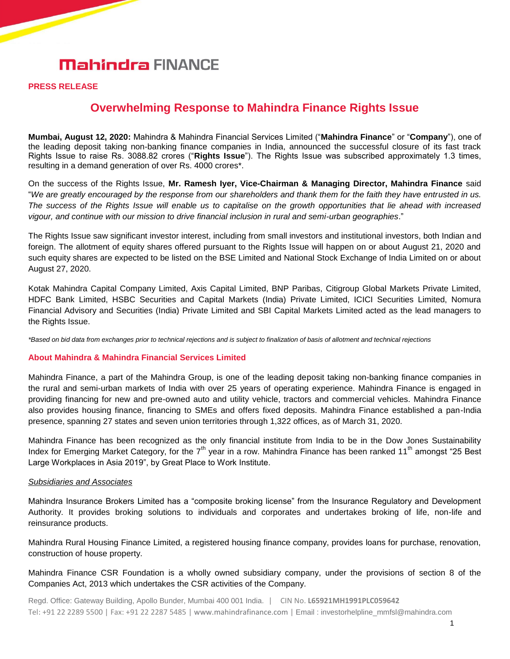# **Mahindra FINANCE**

### **PRESS RELEASE**

# **Overwhelming Response to Mahindra Finance Rights Issue**

**Mumbai, August 12, 2020:** Mahindra & Mahindra Financial Services Limited ("**Mahindra Finance**" or "**Company**"), one of the leading deposit taking non-banking finance companies in India, announced the successful closure of its fast track Rights Issue to raise Rs. 3088.82 crores ("**Rights Issue**"). The Rights Issue was subscribed approximately 1.3 times, resulting in a demand generation of over Rs. 4000 crores\*.

On the success of the Rights Issue, **Mr. Ramesh Iyer, Vice-Chairman & Managing Director, Mahindra Finance** said "*We are greatly encouraged by the response from our shareholders and thank them for the faith they have entrusted in us. The success of the Rights Issue will enable us to capitalise on the growth opportunities that lie ahead with increased vigour, and continue with our mission to drive financial inclusion in rural and semi-urban geographies*."

The Rights Issue saw significant investor interest, including from small investors and institutional investors, both Indian and foreign. The allotment of equity shares offered pursuant to the Rights Issue will happen on or about August 21, 2020 and such equity shares are expected to be listed on the BSE Limited and National Stock Exchange of India Limited on or about August 27, 2020.

Kotak Mahindra Capital Company Limited, Axis Capital Limited, BNP Paribas, Citigroup Global Markets Private Limited, HDFC Bank Limited, HSBC Securities and Capital Markets (India) Private Limited, ICICI Securities Limited, Nomura Financial Advisory and Securities (India) Private Limited and SBI Capital Markets Limited acted as the lead managers to the Rights Issue.

*\*Based on bid data from exchanges prior to technical rejections and is subject to finalization of basis of allotment and technical rejections*

### **About Mahindra & Mahindra Financial Services Limited**

Mahindra Finance, a part of the Mahindra Group, is one of the leading deposit taking non-banking finance companies in the rural and semi-urban markets of India with over 25 years of operating experience. Mahindra Finance is engaged in providing financing for new and pre-owned auto and utility vehicle, tractors and commercial vehicles. Mahindra Finance also provides housing finance, financing to SMEs and offers fixed deposits. Mahindra Finance established a pan-India presence, spanning 27 states and seven union territories through 1,322 offices, as of March 31, 2020.

Mahindra Finance has been recognized as the only financial institute from India to be in the Dow Jones Sustainability Index for Emerging Market Category, for the  $7<sup>th</sup>$  year in a row. Mahindra Finance has been ranked 11<sup>th</sup> amongst "25 Best Large Workplaces in Asia 2019", by Great Place to Work Institute.

#### *Subsidiaries and Associates*

Mahindra Insurance Brokers Limited has a "composite broking license" from the Insurance Regulatory and Development Authority. It provides broking solutions to individuals and corporates and undertakes broking of life, non-life and reinsurance products.

Mahindra Rural Housing Finance Limited, a registered housing finance company, provides loans for purchase, renovation, construction of house property.

Mahindra Finance CSR Foundation is a wholly owned subsidiary company, under the provisions of section 8 of the Companies Act, 2013 which undertakes the CSR activities of the Company.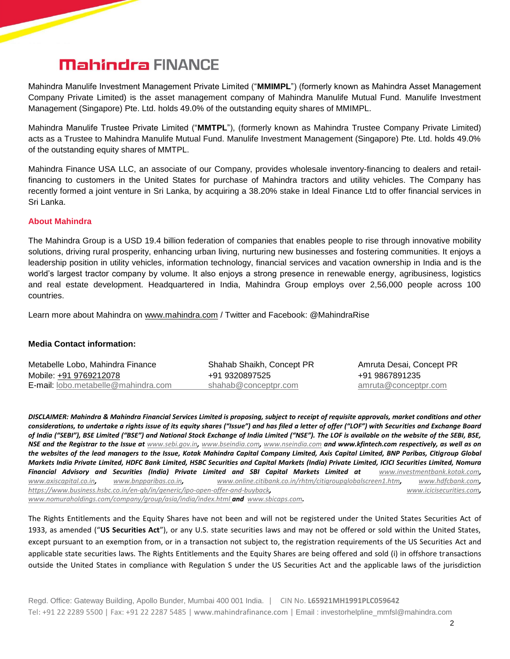# **Mahindra FINANCE**

Mahindra Manulife Investment Management Private Limited ("**MMIMPL**") (formerly known as Mahindra Asset Management Company Private Limited) is the asset management company of Mahindra Manulife Mutual Fund. Manulife Investment Management (Singapore) Pte. Ltd. holds 49.0% of the outstanding equity shares of MMIMPL.

Mahindra Manulife Trustee Private Limited ("**MMTPL**"), (formerly known as Mahindra Trustee Company Private Limited) acts as a Trustee to Mahindra Manulife Mutual Fund. Manulife Investment Management (Singapore) Pte. Ltd. holds 49.0% of the outstanding equity shares of MMTPL.

Mahindra Finance USA LLC, an associate of our Company, provides wholesale inventory-financing to dealers and retailfinancing to customers in the United States for purchase of Mahindra tractors and utility vehicles. The Company has recently formed a joint venture in Sri Lanka, by acquiring a 38.20% stake in Ideal Finance Ltd to offer financial services in Sri Lanka.

### **About Mahindra**

The Mahindra Group is a USD 19.4 billion federation of companies that enables people to rise through innovative mobility solutions, driving rural prosperity, enhancing urban living, nurturing new businesses and fostering communities. It enjoys a leadership position in utility vehicles, information technology, financial services and vacation ownership in India and is the world's largest tractor company by volume. It also enjoys a strong presence in renewable energy, agribusiness, logistics and real estate development. Headquartered in India, Mahindra Group employs over 2,56,000 people across 100 countries.

Learn more about Mahindra on [www.mahindra.com](http://www.mahindra.com/) / Twitter and Facebook: @MahindraRise

## **Media Contact information:**

| Metabelle Lobo, Mahindra Finance              | Shahab Shaikh, Concept PR | Amruta Desai, Concept PR |
|-----------------------------------------------|---------------------------|--------------------------|
| Mobile: +91 9769212078                        | +91 9320897525            | +91 9867891235           |
| <b>E-mail:</b> $lobo.$ metabelle@mahindra.com | shahab@conceptpr.com      | amruta@conceptpr.com     |

*DISCLAIMER: Mahindra & Mahindra Financial Services Limited is proposing, subject to receipt of requisite approvals, market conditions and other considerations, to undertake a rights issue of its equity shares ("Issue") and has filed a letter of offer ("LOF") with Securities and Exchange Board of India ("SEBI"), BSE Limited ("BSE") and National Stock Exchange of India Limited ("NSE"). The LOF is available on the website of the SEBI, BSE, NSE and the Registrar to the Issue at [www.sebi.gov.in](http://www.sebi.gov.in/), [www.bseindia.com](http://www.bseindia.com/), [www.nseindia.com](http://www.nseindia.com/) and www.kfintech.com respectively, as well as on the websites of the lead managers to the Issue, Kotak Mahindra Capital Company Limited, Axis Capital Limited, BNP Paribas, Citigroup Global Markets India Private Limited, HDFC Bank Limited, HSBC Securities and Capital Markets (India) Private Limited, ICICI Securities Limited, Nomura Financial Advisory and Securities (India) Private Limited and SBI Capital Markets Limited at [www.investmentbank.kotak.com](http://www.investmentbank.kotak.com/), [www.axiscapital.co.in](http://www.axiscapital.co.in/), [www.bnpparibas.co.in](http://www.bnpparibas.co.in/), [www.online.citibank.co.in/rhtm/citigroupglobalscreen1.htm](http://www.online.citibank.co.in/rhtm/citigroupglobalscreen1.htm), [www.hdfcbank.com](http://www.hdfcbank.com/), <https://www.business.hsbc.co.in/en-gb/in/generic/ipo-open-offer-and-buyback>, [www.icicisecurities.com](http://www.icicisecurities.com/), [www.nomuraholdings.com/company/group/asia/india/index.html](http://www.nomuraholdings.com/company/group/asia/india/index.html) and [www.sbicaps.com](http://www.sbicaps.com/).*

The Rights Entitlements and the Equity Shares have not been and will not be registered under the United States Securities Act of 1933, as amended ("**US Securities Act**"), or any U.S. state securities laws and may not be offered or sold within the United States, except pursuant to an exemption from, or in a transaction not subject to, the registration requirements of the US Securities Act and applicable state securities laws. The Rights Entitlements and the Equity Shares are being offered and sold (i) in offshore transactions outside the United States in compliance with Regulation S under the US Securities Act and the applicable laws of the jurisdiction